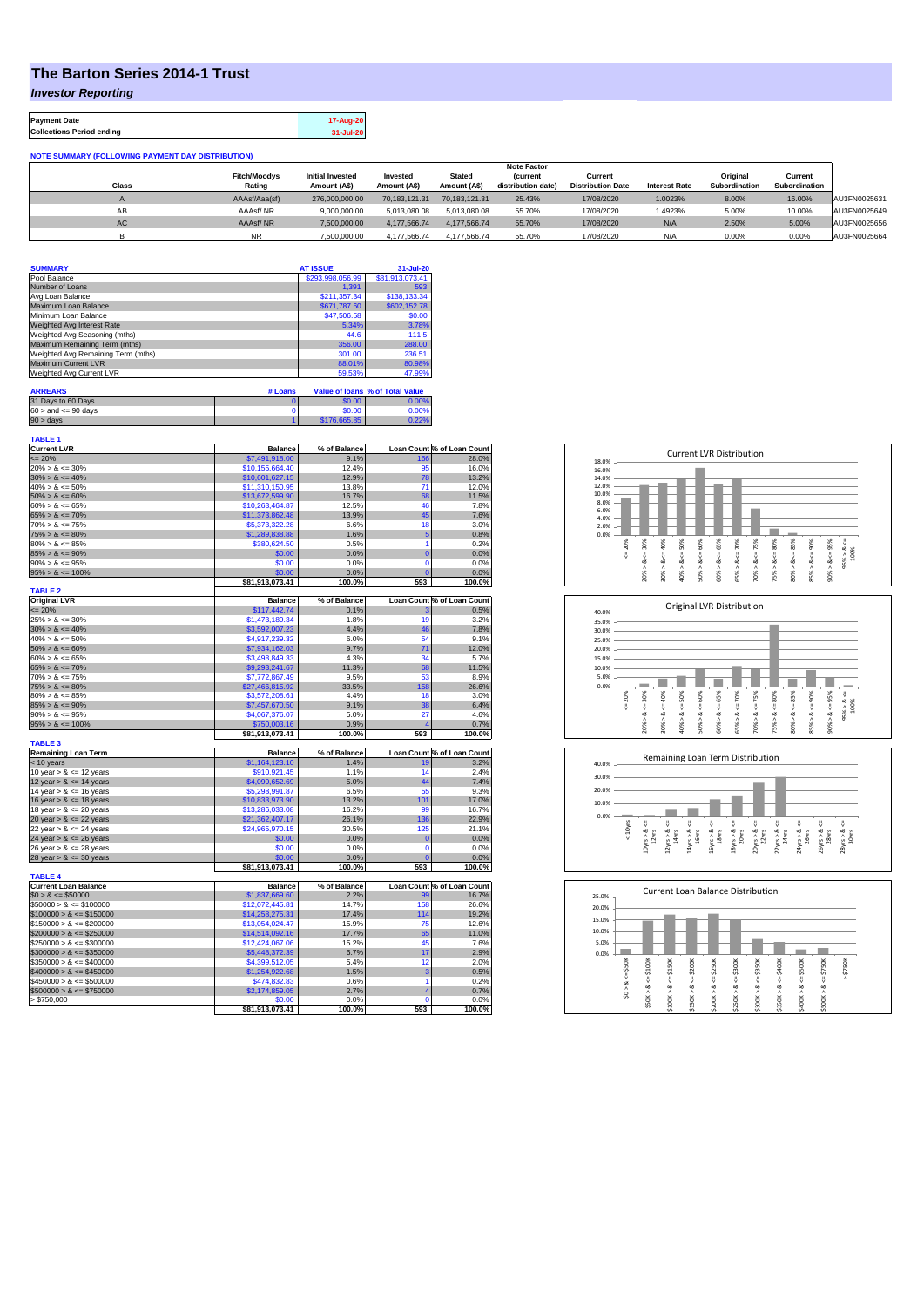## **The Barton Series 2014-1 Trust**

*Investor Reporting*

**Payment Date 17-Aug-20 Collections Period ending 31-Jul-20**

**NOTE SUMMARY (FOLLOWING PAYMENT DAY DISTRIBUTION)**

|       |                               |                                         |                          |                               | <b>Note Factor</b>                    |                                     |                      |                                  |                          |              |
|-------|-------------------------------|-----------------------------------------|--------------------------|-------------------------------|---------------------------------------|-------------------------------------|----------------------|----------------------------------|--------------------------|--------------|
| Class | <b>Fitch/Moodys</b><br>Rating | <b>Initial Invested</b><br>Amount (A\$) | Invested<br>Amount (A\$) | <b>Stated</b><br>Amount (A\$) | <b>(current</b><br>distribution date) | Current<br><b>Distribution Date</b> | <b>Interest Rate</b> | Original<br><b>Subordination</b> | Current<br>Subordination |              |
|       |                               |                                         |                          |                               |                                       |                                     |                      |                                  |                          |              |
|       | AAAsf/Aaa(sf)                 | 276,000,000.00                          | 70.183.121.31            | 70.183.121.31                 | 25.43%                                | 17/08/2020                          | 1.0023%              | 8.00%                            | 16.00%                   | AU3FN0025631 |
| AB    | AAAsf/NR                      | 9.000.000.00                            | 5.013.080.08             | 5.013.080.08                  | 55.70%                                | 17/08/2020                          | 1.4923%              | 5.00%                            | 10.00%                   | AU3FN0025649 |
| AC    | AAAsf/NR                      | 7,500,000.00                            | 4.177.566.74             | 4.177.566.74                  | 55.70%                                | 17/08/2020                          | N/A                  | 2.50%                            | 5.00%                    | AU3FN0025656 |
|       | <b>NR</b>                     | 7.500.000.00                            | 4.177.566.74             | 4,177,566.74                  | 55.70%                                | 17/08/2020                          | N/A                  | 0.00%                            | 0.00%                    | AU3FN0025664 |

| <b>SUMMARY</b>                     |         | <b>AT ISSUE</b>  | 31-Jul-20                       |
|------------------------------------|---------|------------------|---------------------------------|
| Pool Balance                       |         | \$293,998,056.99 | \$81,913,073.41                 |
| Number of Loans                    |         | 1.391            | 593                             |
| Avg Loan Balance                   |         | \$211.357.34     | \$138,133.34                    |
| Maximum Loan Balance               |         | \$671,787.60     | \$602,152.78                    |
| Minimum Loan Balance               |         | \$47,506.58      | \$0.00                          |
| Weighted Avg Interest Rate         |         | 5.34%            | 3.78%                           |
| Weighted Avg Seasoning (mths)      |         | 44.6             | 111.5                           |
| Maximum Remaining Term (mths)      |         | 356.00           | 288.00                          |
| Weighted Avg Remaining Term (mths) |         | 301.00           | 236.51                          |
| Maximum Current LVR                |         | 88.01%           | 80.98%                          |
| Weighted Avg Current LVR           |         | 59.53%           | 47.99%                          |
| <b>ARREARS</b>                     | # Loans |                  | Value of Ioans % of Total Value |

| 31 Days to 60 Days        | \$0.00       |          |
|---------------------------|--------------|----------|
| $60 >$ and $\leq 90$ days | \$0.00       | $0.00\%$ |
| $90 > \text{days}$        | \$176,665.85 |          |

| TABLE 1                     |                           |                |                 |                            |
|-----------------------------|---------------------------|----------------|-----------------|----------------------------|
| <b>Current LVR</b>          | <b>Balance</b>            | % of Balance   |                 | Loan Count % of Loan Count |
| $= 20%$                     | \$7,491,918.00            | 9.1%           | 166             | 28.0%                      |
| $20\% > 8 \le 30\%$         | \$10,155,664.40           | 12.4%          | 95              | 16.0%                      |
| $30\% > 8 \le 40\%$         | \$10,601,627.15           | 12.9%          | 78              | 13.2%                      |
| $40\% > 8 \le 50\%$         | \$11,310,150.95           | 13.8%          | 71              | 12.0%                      |
| $50\% > 8 \le 60\%$         | \$13,672,599.90           | 16.7%          | 68              | 11.5%                      |
|                             |                           |                |                 |                            |
| $60\% > 8 \le 65\%$         | \$10,263,464.87           | 12.5%          | 46              | 7.8%                       |
| $65\% > 8 \le 70\%$         | \$11,373,862.48           | 13.9%          | 45              | 7.6%                       |
| $70\% > 8 \le 75\%$         | \$5,373,322.28            | 6.6%           | 18              | 3.0%                       |
| $75\% > 8 \le 80\%$         | \$1,289,838.88            | 1.6%           | 5               | 0.8%                       |
| $80\% > 8 \le 85\%$         | \$380,624.50              | 0.5%           | 1               | 0.2%                       |
| $85\% > 8 \le 90\%$         | \$0.00                    | 0.0%           | $\overline{0}$  | 0.0%                       |
| $90\% > 8 \le 95\%$         | \$0.00                    | 0.0%           | $\overline{0}$  | 0.0%                       |
| $95\% > 8 \le 100\%$        | \$0.00                    | 0.0%           | $\overline{0}$  | 0.0%                       |
|                             | \$81,913,073.41           | 100.0%         | 593             | 100.0%                     |
|                             |                           |                |                 |                            |
| <b>TABLE 2</b>              |                           |                |                 |                            |
| <b>Original LVR</b>         | <b>Balance</b>            | % of Balance   |                 | Loan Count % of Loan Count |
| $= 20%$                     | \$117,442.74              | 0.1%           |                 | 0.5%                       |
| $25\% > 8 \le 30\%$         | \$1,473,189.34            | 1.8%           | 19              | 3.2%                       |
| $30\% > 8 \le 40\%$         | \$3,592,007.23            | 4.4%           | 46              | 7.8%                       |
| $40\% > 8 \le 50\%$         | \$4,917,239.32            | 6.0%           | 54              | 9.1%                       |
| $50\% > 8 \le 60\%$         | \$7,934,162.03            | 9.7%           | 71              | 12.0%                      |
| $60\% > 8 \le 65\%$         | \$3,498,849.33            | 4.3%           | 34              | 5.7%                       |
| $65\% > 8 \le 70\%$         | \$9,293,241.67            | 11.3%          | 68              | 11.5%                      |
|                             |                           |                |                 |                            |
| $70\% > 8 \le 75\%$         | \$7,772,867.49            | 9.5%           | 53              | 8.9%                       |
| $75\% > 8 \le 80\%$         | \$27,466,815.92           | 33.5%          | 158             | 26.6%                      |
| $80\% > 8 \le 85\%$         | \$3,572,208.61            | 4.4%           | 18              | 3.0%                       |
| $85\% > 8 \le 90\%$         | \$7,457,670.50            | 9.1%           | 38              | 6.4%                       |
| $90\% > 8 \le 95\%$         | \$4,067,376.07            | 5.0%           | 27              | 4.6%                       |
| $95\% > 8 \le 100\%$        | \$750,003.16              | 0.9%           | 4               | 0.7%                       |
|                             | \$81,913,073.41           | 100.0%         | 593             | 100.0%                     |
| <b>TABLE 3</b>              |                           |                |                 |                            |
| <b>Remaining Loan Term</b>  | <b>Balance</b>            | % of Balance   |                 | Loan Count % of Loan Count |
|                             |                           |                |                 |                            |
| $<$ 10 years                | \$1,164,123.10            | 1.4%           | 19              | 3.2%                       |
| 10 year $> 8 \le 12$ years  | \$910,921.45              | 1.1%           | 14              | 2.4%                       |
| 12 year $> 8 \le 14$ years  | \$4,090,652.69            | 5.0%           | 44              |                            |
| 14 year $> 8 \le 16$ years  |                           |                |                 | 7.4%                       |
|                             | \$5,298,991.87            | 6.5%           | 55              | 9.3%                       |
| 16 year $> 8 \le 18$ years  | \$10,833,973.90           | 13.2%          | 101             | 17.0%                      |
|                             | \$13,286,033.08           | 16.2%          | 99              | 16.7%                      |
| 18 year $> 8 \le 20$ years  |                           |                |                 |                            |
| 20 year $> 8 \le 22$ years  | \$21,362,407.17           | 26.1%          | 136             | 22.9%                      |
| 22 year $> 8 \le 24$ years  | \$24,965,970.15           | 30.5%          | 125             | 21.1%                      |
| 24 year $> 8 \le 26$ years  | \$0.00                    | 0.0%           | $\bf{0}$        | 0.0%                       |
| 26 year $> 8 \le 28$ years  | \$0.00                    | 0.0%           | $\mathbf 0$     | 0.0%                       |
| 28 year $> 8 \le 30$ years  | \$0.00                    | 0.0%           | $\mathbf 0$     | 0.0%                       |
|                             | \$81,913,073.41           | 100.0%         | 593             | 100.0%                     |
| <b>TABLE 4</b>              |                           |                |                 |                            |
| <b>Current Loan Balance</b> | <b>Balance</b>            | % of Balance   |                 | Loan Count % of Loan Count |
|                             |                           |                |                 |                            |
| $$0 > 8 \le $50000$         | \$1,837,669.60            | 2.2%           | 99              | 16.7%                      |
| $$50000 > 8 \le $100000$    | \$12,072,445.81           | 14.7%          | 158             | 26.6%                      |
| $$100000 > 8 \le $150000$   | \$14,258,275.31           | 17.4%          | 114             | 19.2%                      |
| $$150000 > 8 \le $200000$   | \$13,054,024.47           | 15.9%          | 75              | 12.6%                      |
| $$200000 > 8 \leq $250000$  | \$14,514,092.16           | 17.7%          | 65              | 11.0%                      |
| $$250000 > 8 \le $300000$   | \$12,424,067.06           | 15.2%          | 45              | 7.6%                       |
| $$300000 > 8 \leq $350000$  | \$5,448,372.39            | 6.7%           | 17              | 2.9%                       |
|                             |                           | 5.4%           | 12              |                            |
| $$350000 > 8 \le $400000$   | \$4,399,512.05            |                |                 | 2.0%                       |
| $$400000 > 8 \leq $450000$  | \$1,254,922.68            | 1.5%           | 3               | 0.5%                       |
| $$450000 > 8 \leq $500000$  | \$474.832.83              | 0.6%           | 1               | 0.2%                       |
| $$500000 > 8 \le $750000$   | \$2,174,859.05            | 2.7%           | 4               | 0.7%                       |
| > \$750,000                 | \$0.00<br>\$81,913,073.41 | 0.0%<br>100.0% | $\Omega$<br>593 | 0.0%<br>100.0%             |







| 25.0% |       |        | Current Loan Balance Distribution |         |         |         |         |         |         |         |          |  |
|-------|-------|--------|-----------------------------------|---------|---------|---------|---------|---------|---------|---------|----------|--|
| 20.0% |       |        |                                   |         |         |         |         |         |         |         |          |  |
| 15.0% |       |        |                                   |         |         |         |         |         |         |         |          |  |
| 10.0% |       |        |                                   |         |         |         |         |         |         |         |          |  |
| 5.0%  |       |        |                                   |         |         |         |         |         |         |         |          |  |
| 0.0%  |       |        |                                   |         |         |         |         |         |         |         |          |  |
|       | \$50K | \$100K | \$150K                            | \$200K  | \$250K  | \$300K  | \$350K  | \$400K  | \$500K  | \$750K  | \$750K   |  |
|       |       |        |                                   | IJ      |         | ₩       |         |         |         |         | $\wedge$ |  |
|       | ∞     | $\<=$  | oð                                | œ       | œ       | œ       | œ       | œ       | œ       | oð      |          |  |
|       | ŝ     | \$50K> | ٨                                 |         |         |         |         |         |         |         |          |  |
|       |       |        | \$100K                            | \$150K> | \$200K> | \$250K> | \$300K> | \$350K> | \$400K> | \$500K> |          |  |